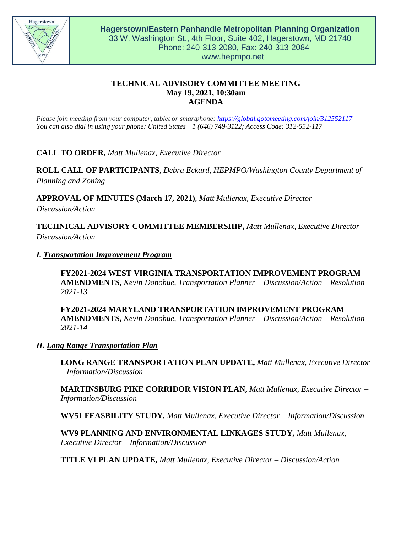

# **TECHNICAL ADVISORY COMMITTEE MEETING May 19, 2021, 10:30am AGENDA**

*Please join meeting from your computer, tablet or smartphone:<https://global.gotomeeting.com/join/312552117> You can also dial in using your phone: United States +1 (646) 749-3122; Access Code: 312-552-117*

**CALL TO ORDER,** *Matt Mullenax, Executive Director*

**ROLL CALL OF PARTICIPANTS**, *Debra Eckard, HEPMPO/Washington County Department of Planning and Zoning*

**APPROVAL OF MINUTES (March 17, 2021)**, *Matt Mullenax, Executive Director –*

*Discussion/Action*

**TECHNICAL ADVISORY COMMITTEE MEMBERSHIP,** *Matt Mullenax, Executive Director – Discussion/Action*

### *I. Transportation Improvement Program*

**FY2021-2024 WEST VIRGINIA TRANSPORTATION IMPROVEMENT PROGRAM AMENDMENTS,** *Kevin Donohue, Transportation Planner – Discussion/Action – Resolution 2021-13*

**FY2021-2024 MARYLAND TRANSPORTATION IMPROVEMENT PROGRAM AMENDMENTS,** *Kevin Donohue, Transportation Planner – Discussion/Action – Resolution 2021-14*

### *II. Long Range Transportation Plan*

**LONG RANGE TRANSPORTATION PLAN UPDATE,** *Matt Mullenax, Executive Director – Information/Discussion*

**MARTINSBURG PIKE CORRIDOR VISION PLAN,** *Matt Mullenax, Executive Director – Information/Discussion*

**WV51 FEASBILITY STUDY,** *Matt Mullenax, Executive Director – Information/Discussion*

**WV9 PLANNING AND ENVIRONMENTAL LINKAGES STUDY,** *Matt Mullenax, Executive Director – Information/Discussion*

**TITLE VI PLAN UPDATE,** *Matt Mullenax, Executive Director – Discussion/Action*